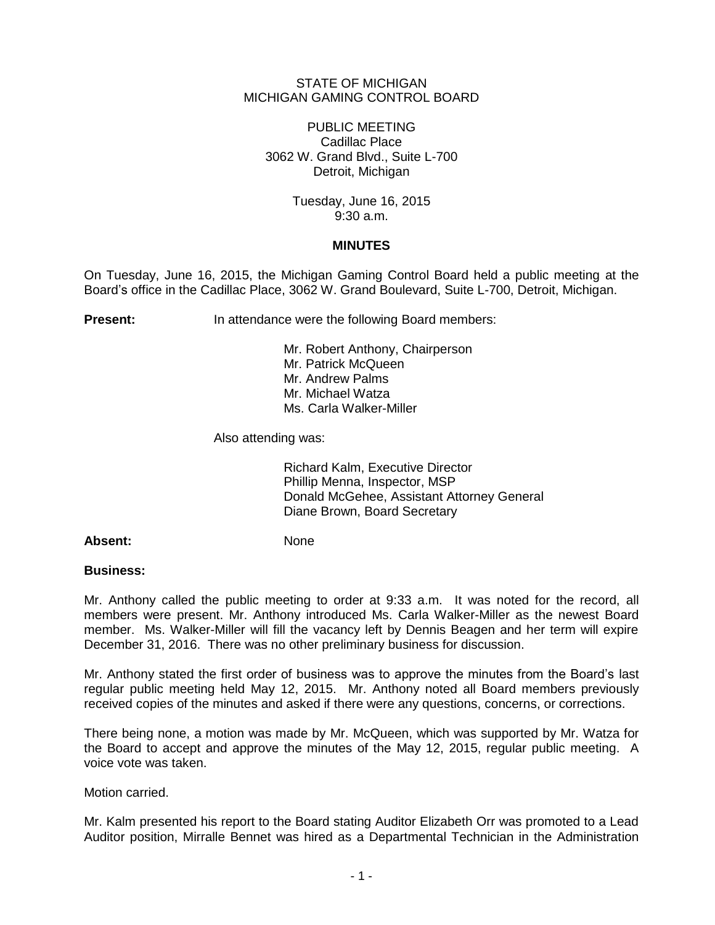## STATE OF MICHIGAN MICHIGAN GAMING CONTROL BOARD

PUBLIC MEETING Cadillac Place 3062 W. Grand Blvd., Suite L-700 Detroit, Michigan

> Tuesday, June 16, 2015 9:30 a.m.

## **MINUTES**

On Tuesday, June 16, 2015, the Michigan Gaming Control Board held a public meeting at the Board's office in the Cadillac Place, 3062 W. Grand Boulevard, Suite L-700, Detroit, Michigan.

**Present:** In attendance were the following Board members:

Mr. Robert Anthony, Chairperson Mr. Patrick McQueen Mr. Andrew Palms Mr. Michael Watza Ms. Carla Walker-Miller

Also attending was:

Richard Kalm, Executive Director Phillip Menna, Inspector, MSP Donald McGehee, Assistant Attorney General Diane Brown, Board Secretary

## Absent: None

## **Business:**

Mr. Anthony called the public meeting to order at 9:33 a.m. It was noted for the record, all members were present. Mr. Anthony introduced Ms. Carla Walker-Miller as the newest Board member. Ms. Walker-Miller will fill the vacancy left by Dennis Beagen and her term will expire December 31, 2016. There was no other preliminary business for discussion.

Mr. Anthony stated the first order of business was to approve the minutes from the Board's last regular public meeting held May 12, 2015. Mr. Anthony noted all Board members previously received copies of the minutes and asked if there were any questions, concerns, or corrections.

There being none, a motion was made by Mr. McQueen, which was supported by Mr. Watza for the Board to accept and approve the minutes of the May 12, 2015, regular public meeting. A voice vote was taken.

Motion carried.

Mr. Kalm presented his report to the Board stating Auditor Elizabeth Orr was promoted to a Lead Auditor position, Mirralle Bennet was hired as a Departmental Technician in the Administration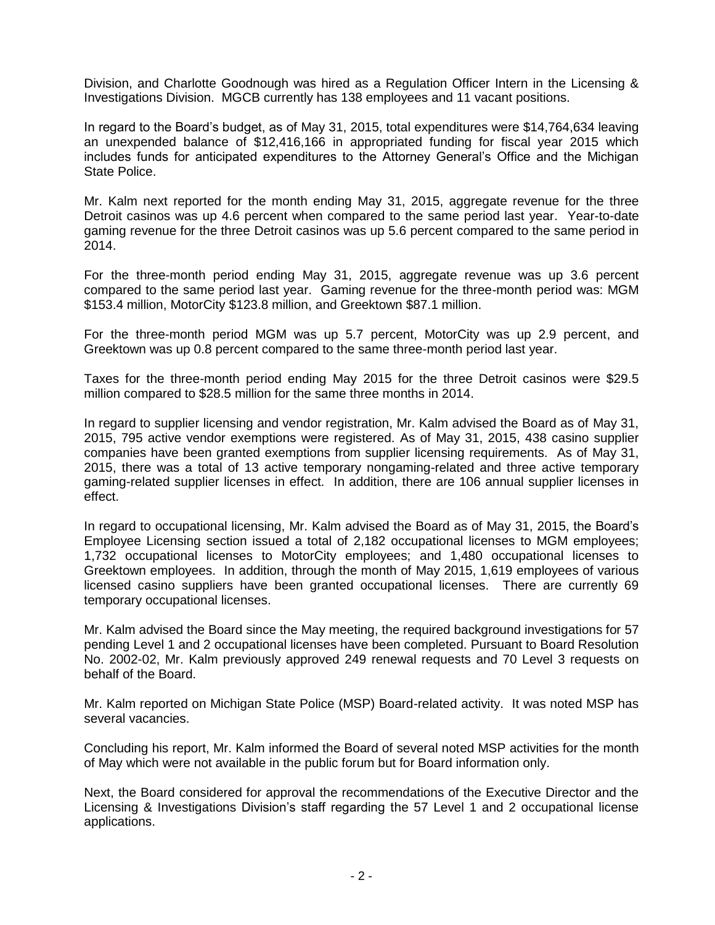Division, and Charlotte Goodnough was hired as a Regulation Officer Intern in the Licensing & Investigations Division. MGCB currently has 138 employees and 11 vacant positions.

In regard to the Board's budget, as of May 31, 2015, total expenditures were \$14,764,634 leaving an unexpended balance of \$12,416,166 in appropriated funding for fiscal year 2015 which includes funds for anticipated expenditures to the Attorney General's Office and the Michigan State Police.

Mr. Kalm next reported for the month ending May 31, 2015, aggregate revenue for the three Detroit casinos was up 4.6 percent when compared to the same period last year. Year-to-date gaming revenue for the three Detroit casinos was up 5.6 percent compared to the same period in 2014.

For the three-month period ending May 31, 2015, aggregate revenue was up 3.6 percent compared to the same period last year. Gaming revenue for the three-month period was: MGM \$153.4 million, MotorCity \$123.8 million, and Greektown \$87.1 million.

For the three-month period MGM was up 5.7 percent, MotorCity was up 2.9 percent, and Greektown was up 0.8 percent compared to the same three-month period last year.

Taxes for the three-month period ending May 2015 for the three Detroit casinos were \$29.5 million compared to \$28.5 million for the same three months in 2014.

In regard to supplier licensing and vendor registration, Mr. Kalm advised the Board as of May 31, 2015, 795 active vendor exemptions were registered. As of May 31, 2015, 438 casino supplier companies have been granted exemptions from supplier licensing requirements. As of May 31, 2015, there was a total of 13 active temporary nongaming-related and three active temporary gaming-related supplier licenses in effect. In addition, there are 106 annual supplier licenses in effect.

In regard to occupational licensing, Mr. Kalm advised the Board as of May 31, 2015, the Board's Employee Licensing section issued a total of 2,182 occupational licenses to MGM employees; 1,732 occupational licenses to MotorCity employees; and 1,480 occupational licenses to Greektown employees. In addition, through the month of May 2015, 1,619 employees of various licensed casino suppliers have been granted occupational licenses. There are currently 69 temporary occupational licenses.

Mr. Kalm advised the Board since the May meeting, the required background investigations for 57 pending Level 1 and 2 occupational licenses have been completed. Pursuant to Board Resolution No. 2002-02, Mr. Kalm previously approved 249 renewal requests and 70 Level 3 requests on behalf of the Board.

Mr. Kalm reported on Michigan State Police (MSP) Board-related activity. It was noted MSP has several vacancies.

Concluding his report, Mr. Kalm informed the Board of several noted MSP activities for the month of May which were not available in the public forum but for Board information only.

Next, the Board considered for approval the recommendations of the Executive Director and the Licensing & Investigations Division's staff regarding the 57 Level 1 and 2 occupational license applications.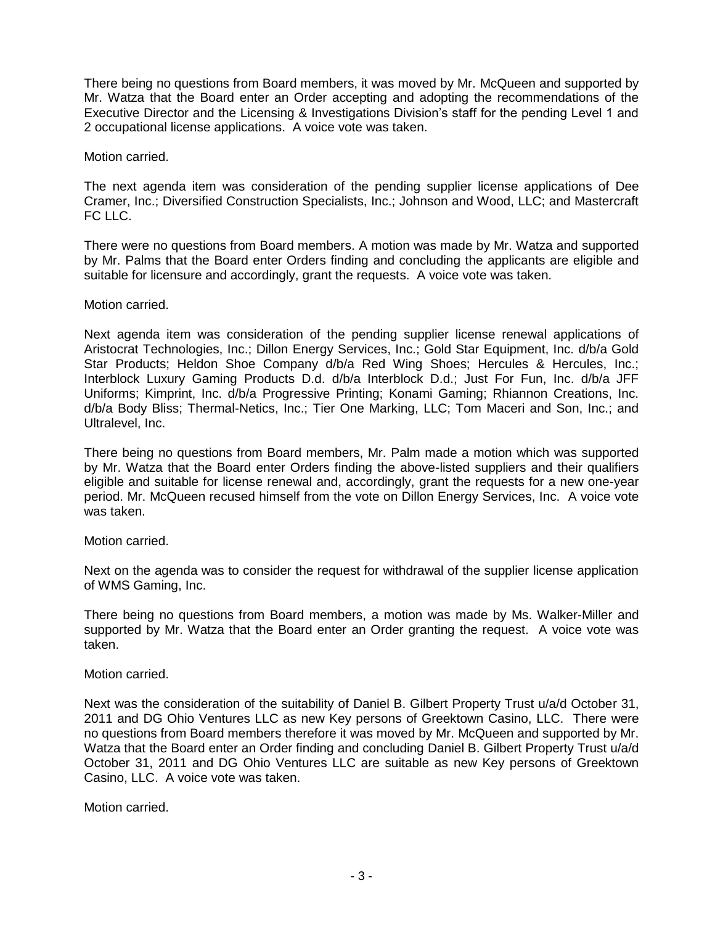There being no questions from Board members, it was moved by Mr. McQueen and supported by Mr. Watza that the Board enter an Order accepting and adopting the recommendations of the Executive Director and the Licensing & Investigations Division's staff for the pending Level 1 and 2 occupational license applications. A voice vote was taken.

Motion carried.

The next agenda item was consideration of the pending supplier license applications of Dee Cramer, Inc.; Diversified Construction Specialists, Inc.; Johnson and Wood, LLC; and Mastercraft FC LLC.

There were no questions from Board members. A motion was made by Mr. Watza and supported by Mr. Palms that the Board enter Orders finding and concluding the applicants are eligible and suitable for licensure and accordingly, grant the requests. A voice vote was taken.

Motion carried.

Next agenda item was consideration of the pending supplier license renewal applications of Aristocrat Technologies, Inc.; Dillon Energy Services, Inc.; Gold Star Equipment, Inc. d/b/a Gold Star Products; Heldon Shoe Company d/b/a Red Wing Shoes; Hercules & Hercules, Inc.; Interblock Luxury Gaming Products D.d. d/b/a Interblock D.d.; Just For Fun, Inc. d/b/a JFF Uniforms; Kimprint, Inc. d/b/a Progressive Printing; Konami Gaming; Rhiannon Creations, Inc. d/b/a Body Bliss; Thermal-Netics, Inc.; Tier One Marking, LLC; Tom Maceri and Son, Inc.; and Ultralevel, Inc.

There being no questions from Board members, Mr. Palm made a motion which was supported by Mr. Watza that the Board enter Orders finding the above-listed suppliers and their qualifiers eligible and suitable for license renewal and, accordingly, grant the requests for a new one-year period. Mr. McQueen recused himself from the vote on Dillon Energy Services, Inc. A voice vote was taken.

Motion carried.

Next on the agenda was to consider the request for withdrawal of the supplier license application of WMS Gaming, Inc.

There being no questions from Board members, a motion was made by Ms. Walker-Miller and supported by Mr. Watza that the Board enter an Order granting the request. A voice vote was taken.

Motion carried.

Next was the consideration of the suitability of Daniel B. Gilbert Property Trust u/a/d October 31, 2011 and DG Ohio Ventures LLC as new Key persons of Greektown Casino, LLC. There were no questions from Board members therefore it was moved by Mr. McQueen and supported by Mr. Watza that the Board enter an Order finding and concluding Daniel B. Gilbert Property Trust u/a/d October 31, 2011 and DG Ohio Ventures LLC are suitable as new Key persons of Greektown Casino, LLC. A voice vote was taken.

Motion carried.